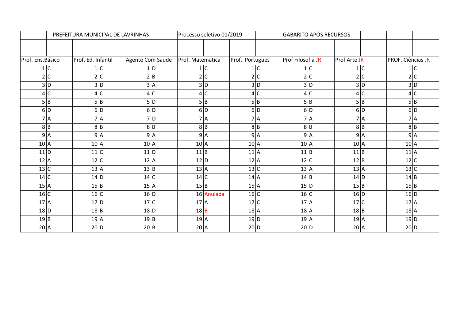|                                         | PREFEITURA MUNICIPAL DE LAVRINHAS |                |                  | Processo seletivo 01/2019 |                 |  | <b>GABARITO APÓS RECURSOS</b> |  |              |                |                   |
|-----------------------------------------|-----------------------------------|----------------|------------------|---------------------------|-----------------|--|-------------------------------|--|--------------|----------------|-------------------|
|                                         |                                   |                |                  |                           |                 |  |                               |  |              |                |                   |
|                                         |                                   |                |                  |                           |                 |  |                               |  |              |                |                   |
| Prof. Ed. Infantil<br>Prof. Ens. Básico |                                   |                | Agente Com Saude | Prof. Matematica          | Prof. Portugues |  | Prof Filosofia JR             |  | Prof Arte JR |                | PROF. Ciências JR |
|                                         | 1 C                               | 1 <sup>C</sup> | 1 D              | 1 <sup>C</sup>            | 1 C             |  | 1 C                           |  |              | 1 <sup>C</sup> | 1 C               |
|                                         | 2 C                               | 2 <sup>c</sup> | 2 B              | 2 C                       | 2 C             |  | 2 C                           |  |              | 2 C            | 2 C               |
|                                         | 3 D                               | 3D             | 3 A              | 3 D                       | 3D              |  | 3 D                           |  |              | 3D             | 3D                |
|                                         | 4 C                               | 4C             | 4C               | 4 C                       | 4C              |  | 4 C                           |  |              | 4C             | 4 C               |
|                                         | 5B                                | 5 B            | 5 D              | 5 B                       | 5 B             |  | 5 B                           |  |              | 5 B            | 5 B               |
|                                         | 6 D                               | 6 D            | 6 D              | 6D                        | 6 D             |  | 6 D                           |  |              | 6D             | 6 D               |
|                                         | 7 A                               | 7 A            | $7$ D            | 7 A                       | 7A              |  | 7A                            |  |              | 7 A            | 7A                |
|                                         | 8 B                               | 8 B            | 8 B              | 8B                        | 8 B             |  | 8 B                           |  |              | 8 B            | 8 B               |
|                                         | 9 A                               | 9A             | 9 A              | 9 A                       | 9A              |  | 9 A                           |  |              | 9 A            | 9 A               |
| 10 A                                    | 10A                               |                | $102$ A          | $10$ A                    | 10A             |  | $10$ A                        |  | $10$ A       |                | $10$ A            |
| 11 D                                    | 11C                               |                | 11 D             | 11 B                      | $11$ A          |  | 11 B                          |  | 11 B         |                | $11$ A            |
| $12 \mid A$                             | $12$ C                            |                | 12A              | $12$ D                    | $12$ A          |  | 12 C                          |  | 12 B         |                | $12$ C            |
| 13C                                     | 13A                               |                | 13 B             | $13$ A                    | 13 C            |  | 13A                           |  | 13A          |                | 13 C              |
| 14C                                     | $14$ D                            |                | 14C              | 14C                       | $14$ A          |  | 14 B                          |  | 14 D         |                | $14$ B            |
| 15A                                     | 15 B                              |                | 15 A             | 15 B                      | 15 A            |  | 15 D                          |  | 15 B         |                | 15 B              |
| 16 C                                    | 16 C                              |                | 16 D             | 16 Anulada                | 16 C            |  | 16 C                          |  | $16$ D       |                | 16 D              |
| 17A                                     | $17$ D                            |                | 17C              | 17A                       | 17C             |  | 17A                           |  | 17C          |                | 17A               |
| $18$ D                                  | 18 B                              |                | $18$ D           | $18$ B                    | 18A             |  | $18$ A                        |  | 18 B         |                | $18$ $A$          |
| 19 B                                    | 19A                               |                | 19B              | 19A                       | $19$ D          |  | 19 A                          |  | 19A          |                | 19 D              |
| $20 \mid A$                             | 20 D                              |                | 20B              | $20$ A                    | 20 D            |  | 20 D                          |  | $20$ A       |                | 20 D              |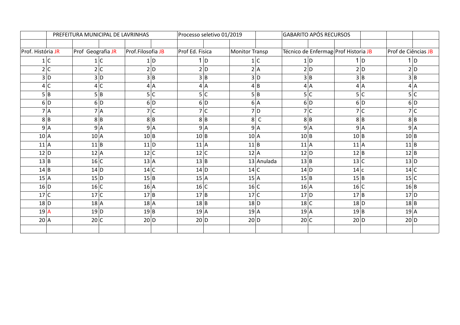|                   |        |                   |     | PREFEITURA MUNICIPAL DE LAVRINHAS | Processo seletivo 01/2019 |                       |            | <b>GABARITO APÓS RECURSOS</b>        |                |                     |
|-------------------|--------|-------------------|-----|-----------------------------------|---------------------------|-----------------------|------------|--------------------------------------|----------------|---------------------|
|                   |        |                   |     |                                   |                           |                       |            |                                      |                |                     |
| Prof. História JR |        | Prof Geografia JR |     | Prof.Filosofia JB                 | Prof Ed. Fisica           | <b>Monitor Transp</b> |            | Técnico de Enfermag Prof Historia JB |                | Prof de Ciências JB |
|                   | 1 C    |                   | 1 C | 1 D                               | 1 D                       |                       | 1 C        | 1 D                                  | 1 <sub>b</sub> | 1 <sub>D</sub>      |
|                   | 2 C    |                   | 2 C | 2 D                               | 2 D                       |                       | 2 A        | 2 D                                  | 2D             | $2$ D               |
|                   | 3 D    |                   | 3 D | 3 B                               | 3 B                       |                       | 3 D        | 3 B                                  | 3 B            | 3B                  |
|                   | 4 C    |                   | 4C  | 4A                                | 4A                        |                       | 4 B        | 4 A                                  | 4 A            | 4 A                 |
|                   | 5 B    |                   | 5B  | 5 C                               | 5 C                       |                       | 5 B        | 5 C                                  | 5 C            | 5 C                 |
|                   | 6 D    |                   | 6 D | 6 D                               | 6 D                       |                       | 6 A        | 6 D                                  | 6 D            | 6 D                 |
|                   | 7 A    |                   | 7 A | 7 C                               | 7 C                       |                       | $7$ D      | 7 C                                  | 7 <sup>c</sup> | 7 C                 |
|                   | 8 B    |                   | 8 B | 8 B                               | 8 B                       |                       | 8C         | 8 B                                  | 8 B            | 8 B                 |
|                   | 9 A    |                   | 9 A | 9A                                | 9 A                       |                       | 9 A        | 9 A                                  | 9 A            | 9 A                 |
| $10 \, \text{A}$  |        | 10 A              |     | 10 B                              | 10 B                      | 10 A                  |            | 10 B                                 | 10 B           | 10 B                |
| $11$ A            |        | 11 B              |     | $11$ D                            | $11$ A                    | $11$ B                |            | $11$ A                               | 11A            | $11$ B              |
| 12 D              |        | $12$ A            |     | 12 C                              | 12 C                      | $12$ A                |            | 12 D                                 | 12 B           | $12$ B              |
| 13B               |        | 16 C              |     | 13 A                              | 13 B                      |                       | 13 Anulada | 13 B                                 | 13 C           | 13 D                |
| 14 B              |        | 14 D              |     | 14 C                              | 14 D                      | 14 C                  |            | 14 D                                 | 14 c           | 14 C                |
| 15A               |        | 15 D              |     | 15 B                              | 15 A                      | 15 A                  |            | 15 B                                 | 15 B           | 15C                 |
| 16 D              |        | 16 C              |     | 16A                               | 16 C                      | 16 C                  |            | 16 A                                 | 16 C           | $16$ <sub>B</sub>   |
| 17C               |        | 17C               |     | 17B                               | 17 B                      | 17C                   |            | $17$ D                               | 17 B           | $17$ D              |
|                   | $18$ D | $18$ A            |     | $18$ A                            | 18 B                      | $18$ D                |            | 18C                                  | $18$ D         | 18 B                |
| 19 A              |        | 19 D              |     | 19 B                              | $19$ A                    | 19A                   |            | 19 A                                 | 19 B           | 19 A                |
| $20 \mid A$       |        | 20 C              |     | 20 D                              | 20 D                      | 20 D                  |            | 20 C                                 | 20 D           | 20 D                |
|                   |        |                   |     |                                   |                           |                       |            |                                      |                |                     |